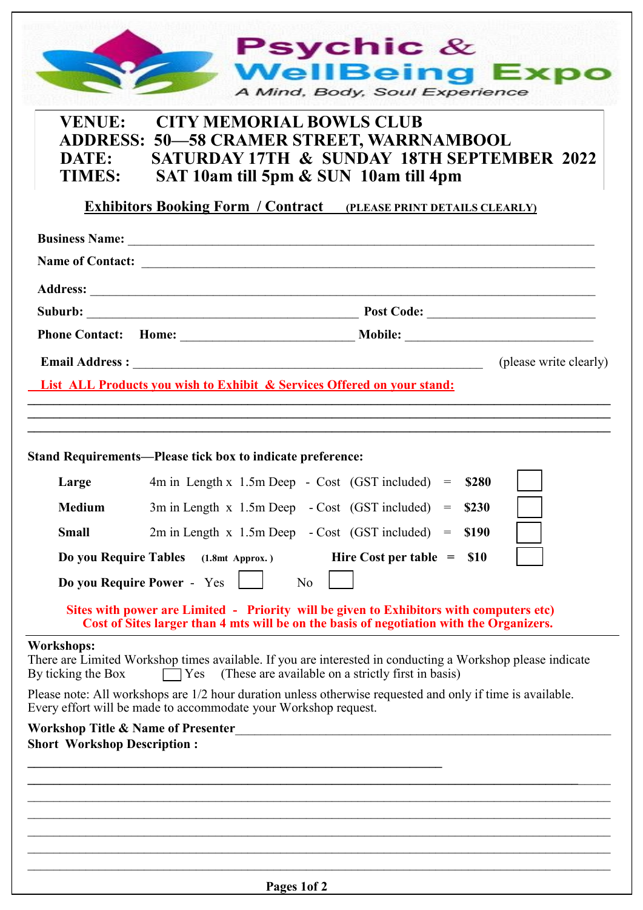|                                         | <b>Psychic</b> $\&$                                                                                                                                                                   |
|-----------------------------------------|---------------------------------------------------------------------------------------------------------------------------------------------------------------------------------------|
|                                         | <b>WellBeing Expo</b><br>A Mind, Body, Soul Experience                                                                                                                                |
| <b>VENUE:</b><br>DATE:<br><b>TIMES:</b> | <b>CITY MEMORIAL BOWLS CLUB</b><br><b>ADDRESS: 50-58 CRAMER STREET, WARRNAMBOOL</b><br><b>SATURDAY 17TH &amp; SUNDAY 18TH SEPTEMBER 2022</b><br>SAT 10am till 5pm & SUN 10am till 4pm |
|                                         | <b>Exhibitors Booking Form / Contract (PLEASE PRINT DETAILS CLEARLY)</b>                                                                                                              |
|                                         |                                                                                                                                                                                       |
|                                         |                                                                                                                                                                                       |
|                                         |                                                                                                                                                                                       |
|                                         |                                                                                                                                                                                       |
|                                         | (please write clearly)<br><b>List ALL Products you wish to Exhibit &amp; Services Offered on your stand:</b>                                                                          |
|                                         | <b>Stand Requirements—Please tick box to indicate preference:</b>                                                                                                                     |
| Large                                   | $4m$ in Length x 1.5m Deep - Cost (GST included) = $$280$                                                                                                                             |
| <b>Medium</b>                           | \$230<br>$3m$ in Length $x$ 1.5m Deep<br>- Cost (GST included)<br>$=$                                                                                                                 |
| <b>Small</b>                            | $2m$ in Length x 1.5m Deep - Cost (GST included)<br><b>\$190</b><br>$=$                                                                                                               |
| Do you Require Tables                   | Hire Cost per table $=$<br><b>S10</b><br>$(1.8mt$ Approx.)<br>Do you Require Power - Yes<br>N <sub>o</sub>                                                                            |
|                                         | Sites with power are Limited - Priority will be given to Exhibitors with computers etc)<br>Cost of Sites larger than 4 mts will be on the basis of negotiation with the Organizers.   |
| <b>Workshops:</b><br>By ticking the Box | There are Limited Workshop times available. If you are interested in conducting a Workshop please indicate<br>[Yes] (These are available on a strictly first in basis)                |
|                                         | Please note: All workshops are 1/2 hour duration unless otherwise requested and only if time is available.<br>Every effort will be made to accommodate your Workshop request.         |
| <b>Short Workshop Description:</b>      | Workshop Title & Name of Presenter                                                                                                                                                    |
|                                         |                                                                                                                                                                                       |
|                                         |                                                                                                                                                                                       |
|                                         |                                                                                                                                                                                       |
|                                         |                                                                                                                                                                                       |
|                                         | Pages 1of 2                                                                                                                                                                           |